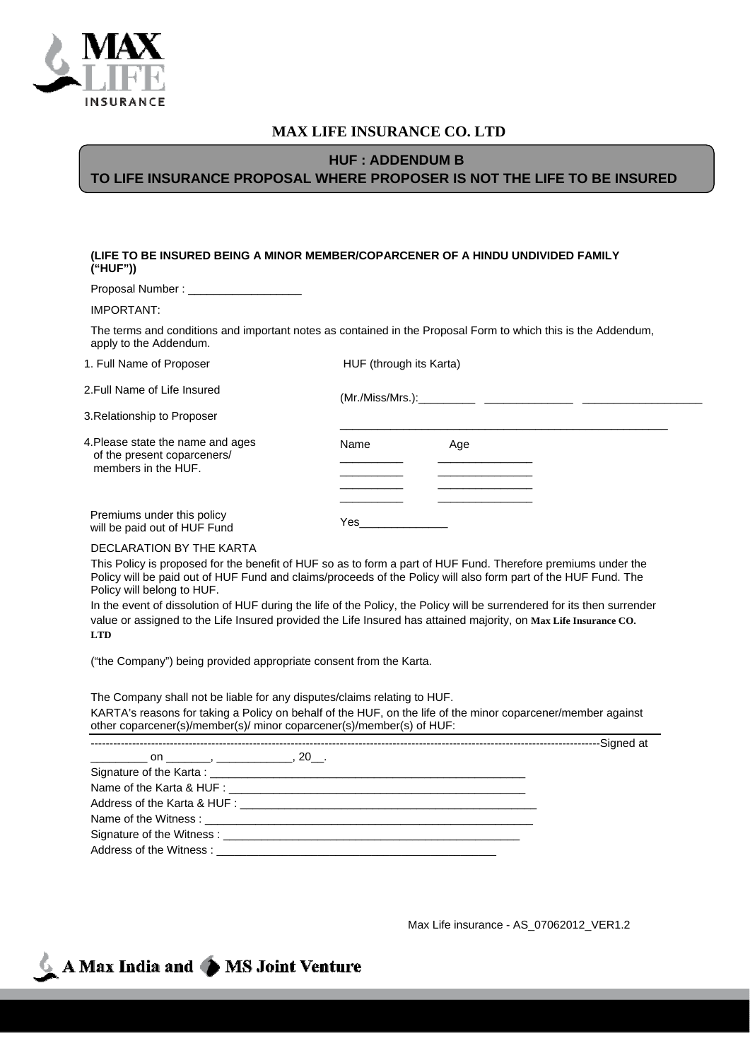

## **MAX LIFE INSURANCE CO. LTD**

## **HUF : ADDENDUM B TO LIFE INSURANCE PROPOSAL WHERE PROPOSER IS NOT THE LIFE TO BE INSURED**

## **(LIFE TO BE INSURED BEING A MINOR MEMBER/COPARCENER OF A HINDU UNDIVIDED FAMILY ("HUF"))**

| Proposal Number: |  |  |
|------------------|--|--|
|------------------|--|--|

IMPORTANT:

The terms and conditions and important notes as contained in the Proposal Form to which this is the Addendum, apply to the Addendum.

| 1. Full Name of Proposer                                                               | HUF (through its Karta) |     |  |
|----------------------------------------------------------------------------------------|-------------------------|-----|--|
| 2.Full Name of Life Insured                                                            |                         |     |  |
| 3. Relationship to Proposer                                                            |                         |     |  |
| 4.Please state the name and ages<br>of the present coparceners/<br>members in the HUF. | Name                    | Age |  |
| Premiums under this policy<br>will be paid out of HUF Fund                             | Yes                     |     |  |

## DECLARATION BY THE KARTA

This Policy is proposed for the benefit of HUF so as to form a part of HUF Fund. Therefore premiums under the Policy will be paid out of HUF Fund and claims/proceeds of the Policy will also form part of the HUF Fund. The Policy will belong to HUF.

In the event of dissolution of HUF during the life of the Policy, the Policy will be surrendered for its then surrender value or assigned to the Life Insured provided the Life Insured has attained majority, on **Max Life Insurance CO. LTD**

("the Company") being provided appropriate consent from the Karta.

The Company shall not be liable for any disputes/claims relating to HUF. KARTA's reasons for taking a Policy on behalf of the HUF, on the life of the minor coparcener/member against

| other coparcener(s)/member(s)/ minor coparcener(s)/member(s) of HUF: |  |                               |
|----------------------------------------------------------------------|--|-------------------------------|
|                                                                      |  | --------------------Sianed at |

| $\frac{1}{1}$ on $\frac{1}{1}$ , $\frac{1}{1}$ , $\frac{1}{1}$ , $\frac{1}{1}$ |  |
|--------------------------------------------------------------------------------|--|
|                                                                                |  |
|                                                                                |  |
|                                                                                |  |
|                                                                                |  |
|                                                                                |  |
|                                                                                |  |

Max Life insurance - AS\_07062012\_VER1.2